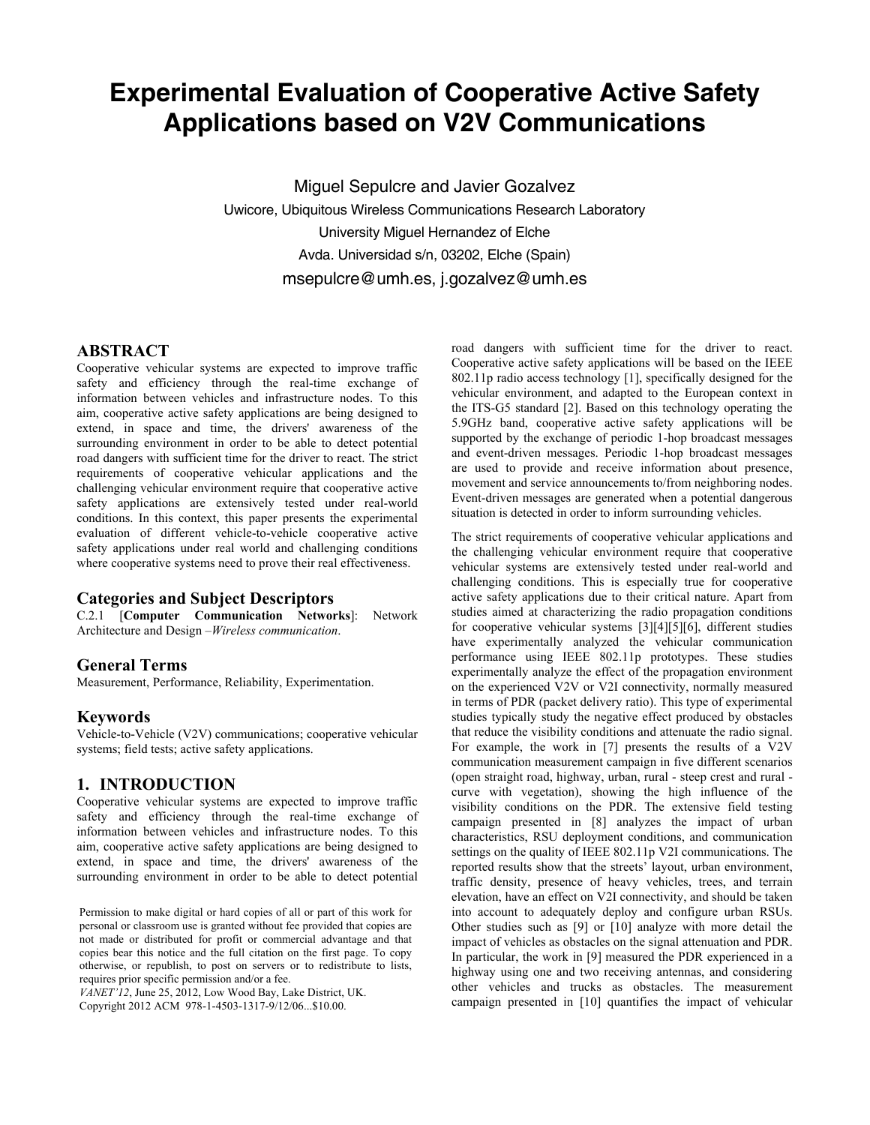# **Experimental Evaluation of Cooperative Active Safety Applications based on V2V Communications**

Miguel Sepulcre and Javier Gozalvez Uwicore, Ubiquitous Wireless Communications Research Laboratory University Miguel Hernandez of Elche Avda. Universidad s/n, 03202, Elche (Spain) msepulcre@umh.es, j.gozalvez@umh.es

# **ABSTRACT**

Cooperative vehicular systems are expected to improve traffic safety and efficiency through the real-time exchange of information between vehicles and infrastructure nodes. To this aim, cooperative active safety applications are being designed to extend, in space and time, the drivers' awareness of the surrounding environment in order to be able to detect potential road dangers with sufficient time for the driver to react. The strict requirements of cooperative vehicular applications and the challenging vehicular environment require that cooperative active safety applications are extensively tested under real-world conditions. In this context, this paper presents the experimental evaluation of different vehicle-to-vehicle cooperative active safety applications under real world and challenging conditions where cooperative systems need to prove their real effectiveness.

# **Categories and Subject Descriptors**

C.2.1 [**Computer Communication Networks**]: Network Architecture and Design –*Wireless communication*.

# **General Terms**

Measurement, Performance, Reliability, Experimentation.

### **Keywords**

Vehicle-to-Vehicle (V2V) communications; cooperative vehicular systems; field tests; active safety applications.

### **1. INTRODUCTION**

Cooperative vehicular systems are expected to improve traffic safety and efficiency through the real-time exchange of information between vehicles and infrastructure nodes. To this aim, cooperative active safety applications are being designed to extend, in space and time, the drivers' awareness of the surrounding environment in order to be able to detect potential

Permission to make digital or hard copies of all or part of this work for personal or classroom use is granted without fee provided that copies are not made or distributed for profit or commercial advantage and that copies bear this notice and the full citation on the first page. To copy otherwise, or republish, to post on servers or to redistribute to lists, requires prior specific permission and/or a fee.

*VANET'12*, June 25, 2012, Low Wood Bay, Lake District, UK. Copyright 2012 ACM 978-1-4503-1317-9/12/06...\$10.00.

road dangers with sufficient time for the driver to react. Cooperative active safety applications will be based on the IEEE 802.11p radio access technology [1], specifically designed for the vehicular environment, and adapted to the European context in the ITS-G5 standard [2]. Based on this technology operating the 5.9GHz band, cooperative active safety applications will be supported by the exchange of periodic 1-hop broadcast messages and event-driven messages. Periodic 1-hop broadcast messages are used to provide and receive information about presence, movement and service announcements to/from neighboring nodes. Event-driven messages are generated when a potential dangerous situation is detected in order to inform surrounding vehicles.

The strict requirements of cooperative vehicular applications and the challenging vehicular environment require that cooperative vehicular systems are extensively tested under real-world and challenging conditions. This is especially true for cooperative active safety applications due to their critical nature. Apart from studies aimed at characterizing the radio propagation conditions for cooperative vehicular systems [3][4][5][6], different studies have experimentally analyzed the vehicular communication performance using IEEE 802.11p prototypes. These studies experimentally analyze the effect of the propagation environment on the experienced V2V or V2I connectivity, normally measured in terms of PDR (packet delivery ratio). This type of experimental studies typically study the negative effect produced by obstacles that reduce the visibility conditions and attenuate the radio signal. For example, the work in [7] presents the results of a V2V communication measurement campaign in five different scenarios (open straight road, highway, urban, rural - steep crest and rural curve with vegetation), showing the high influence of the visibility conditions on the PDR. The extensive field testing campaign presented in [8] analyzes the impact of urban characteristics, RSU deployment conditions, and communication settings on the quality of IEEE 802.11p V2I communications. The reported results show that the streets' layout, urban environment, traffic density, presence of heavy vehicles, trees, and terrain elevation, have an effect on V2I connectivity, and should be taken into account to adequately deploy and configure urban RSUs. Other studies such as [9] or [10] analyze with more detail the impact of vehicles as obstacles on the signal attenuation and PDR. In particular, the work in [9] measured the PDR experienced in a highway using one and two receiving antennas, and considering other vehicles and trucks as obstacles. The measurement campaign presented in [10] quantifies the impact of vehicular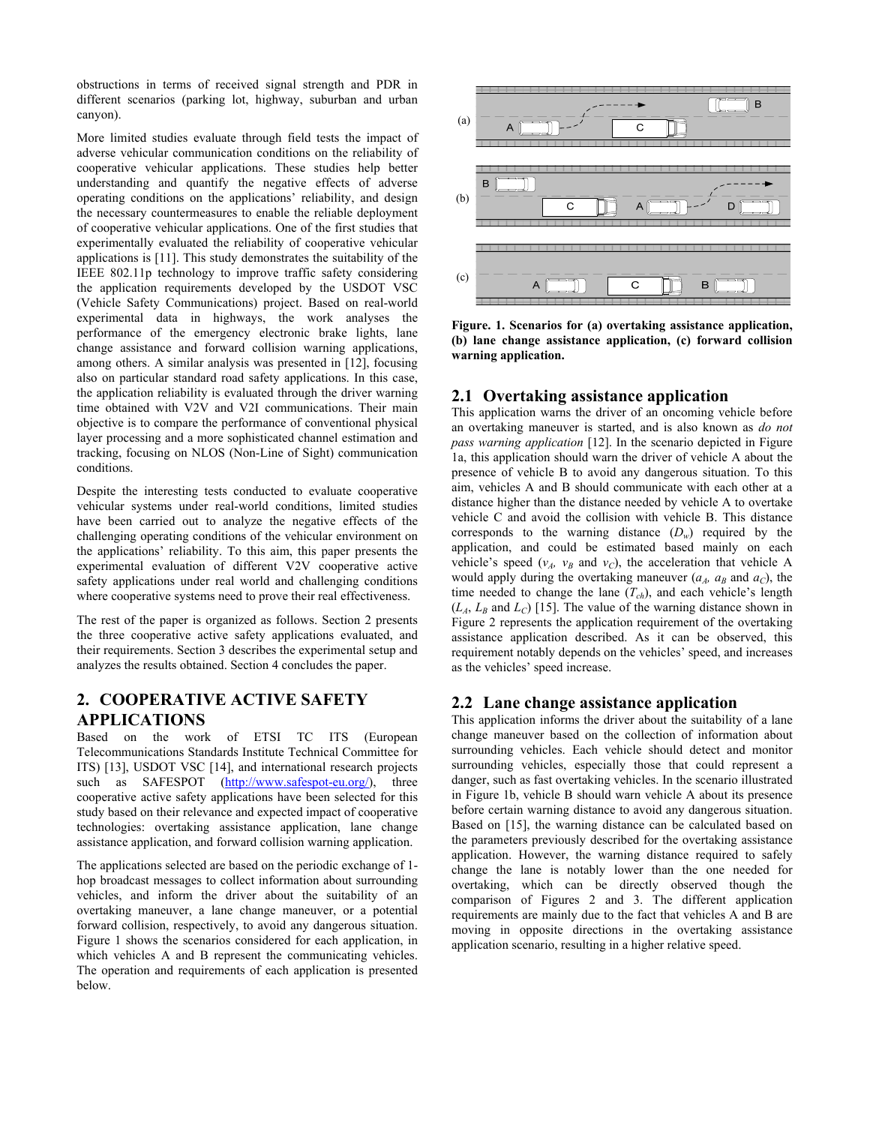obstructions in terms of received signal strength and PDR in different scenarios (parking lot, highway, suburban and urban canyon).

More limited studies evaluate through field tests the impact of adverse vehicular communication conditions on the reliability of cooperative vehicular applications. These studies help better understanding and quantify the negative effects of adverse operating conditions on the applications' reliability, and design the necessary countermeasures to enable the reliable deployment of cooperative vehicular applications. One of the first studies that experimentally evaluated the reliability of cooperative vehicular applications is [11]. This study demonstrates the suitability of the IEEE 802.11p technology to improve traffic safety considering the application requirements developed by the USDOT VSC (Vehicle Safety Communications) project. Based on real-world experimental data in highways, the work analyses the performance of the emergency electronic brake lights, lane change assistance and forward collision warning applications, among others. A similar analysis was presented in [12], focusing also on particular standard road safety applications. In this case, the application reliability is evaluated through the driver warning time obtained with V2V and V2I communications. Their main objective is to compare the performance of conventional physical layer processing and a more sophisticated channel estimation and tracking, focusing on NLOS (Non-Line of Sight) communication conditions.

Despite the interesting tests conducted to evaluate cooperative vehicular systems under real-world conditions, limited studies have been carried out to analyze the negative effects of the challenging operating conditions of the vehicular environment on the applications' reliability. To this aim, this paper presents the experimental evaluation of different V2V cooperative active safety applications under real world and challenging conditions where cooperative systems need to prove their real effectiveness.

The rest of the paper is organized as follows. Section 2 presents the three cooperative active safety applications evaluated, and their requirements. Section 3 describes the experimental setup and analyzes the results obtained. Section 4 concludes the paper.

# **2. COOPERATIVE ACTIVE SAFETY APPLICATIONS**

Based on the work of ETSI TC ITS (European Telecommunications Standards Institute Technical Committee for ITS) [13], USDOT VSC [14], and international research projects such as SAFESPOT (http://www.safespot-eu.org/), three cooperative active safety applications have been selected for this study based on their relevance and expected impact of cooperative technologies: overtaking assistance application, lane change assistance application, and forward collision warning application.

The applications selected are based on the periodic exchange of 1 hop broadcast messages to collect information about surrounding vehicles, and inform the driver about the suitability of an overtaking maneuver, a lane change maneuver, or a potential forward collision, respectively, to avoid any dangerous situation. Figure 1 shows the scenarios considered for each application, in which vehicles A and B represent the communicating vehicles. The operation and requirements of each application is presented below.



**Figure. 1. Scenarios for (a) overtaking assistance application, (b) lane change assistance application, (c) forward collision warning application.** 

# **2.1 Overtaking assistance application**

This application warns the driver of an oncoming vehicle before an overtaking maneuver is started, and is also known as *do not pass warning application* [12]. In the scenario depicted in Figure 1a, this application should warn the driver of vehicle A about the presence of vehicle B to avoid any dangerous situation. To this aim, vehicles A and B should communicate with each other at a distance higher than the distance needed by vehicle A to overtake vehicle C and avoid the collision with vehicle B. This distance corresponds to the warning distance  $(D_w)$  required by the application, and could be estimated based mainly on each vehicle's speed  $(v_A, v_B \text{ and } v_C)$ , the acceleration that vehicle A would apply during the overtaking maneuver  $(a<sub>A</sub>, a<sub>B</sub>$  and  $a<sub>C</sub>)$ , the time needed to change the lane  $(T<sub>ch</sub>)$ , and each vehicle's length  $(L_A, L_B \text{ and } L_C)$  [15]. The value of the warning distance shown in Figure 2 represents the application requirement of the overtaking assistance application described. As it can be observed, this requirement notably depends on the vehicles' speed, and increases as the vehicles' speed increase.

# **2.2 Lane change assistance application**

This application informs the driver about the suitability of a lane change maneuver based on the collection of information about surrounding vehicles. Each vehicle should detect and monitor surrounding vehicles, especially those that could represent a danger, such as fast overtaking vehicles. In the scenario illustrated in Figure 1b, vehicle B should warn vehicle A about its presence before certain warning distance to avoid any dangerous situation. Based on [15], the warning distance can be calculated based on the parameters previously described for the overtaking assistance application. However, the warning distance required to safely change the lane is notably lower than the one needed for overtaking, which can be directly observed though the comparison of Figures 2 and 3. The different application requirements are mainly due to the fact that vehicles A and B are moving in opposite directions in the overtaking assistance application scenario, resulting in a higher relative speed.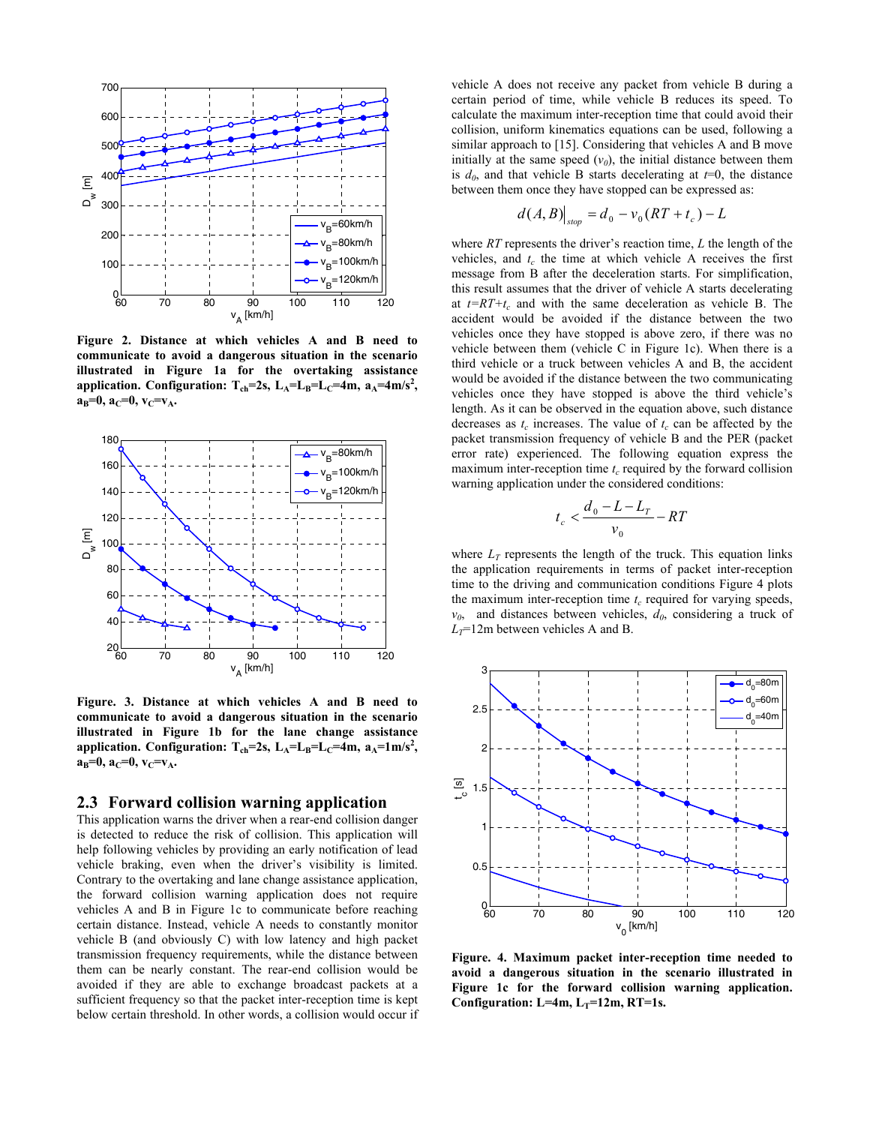

**Figure 2. Distance at which vehicles A and B need to communicate to avoid a dangerous situation in the scenario illustrated in Figure 1a for the overtaking assistance**  application. Configuration:  $T_{ch}$ =2s,  $L_A$ = $L_B$ = $L_C$ =4m,  $a_A$ =4m/s<sup>2</sup>,  $a_B=0$ ,  $a_C=0$ ,  $v_C=v_A$ .



**Figure. 3. Distance at which vehicles A and B need to communicate to avoid a dangerous situation in the scenario illustrated in Figure 1b for the lane change assistance**  application. Configuration:  $T_{ch}$ =2s,  $L_A$ = $L_B$ = $L_C$ =4m,  $a_A$ =1m/s<sup>2</sup>,  $a_B=0$ ,  $a_C=0$ ,  $v_C=v_A$ .

#### **2.3 Forward collision warning application**

This application warns the driver when a rear-end collision danger is detected to reduce the risk of collision. This application will help following vehicles by providing an early notification of lead vehicle braking, even when the driver's visibility is limited. Contrary to the overtaking and lane change assistance application, the forward collision warning application does not require vehicles A and B in Figure 1c to communicate before reaching certain distance. Instead, vehicle A needs to constantly monitor vehicle B (and obviously C) with low latency and high packet transmission frequency requirements, while the distance between them can be nearly constant. The rear-end collision would be avoided if they are able to exchange broadcast packets at a sufficient frequency so that the packet inter-reception time is kept below certain threshold. In other words, a collision would occur if vehicle A does not receive any packet from vehicle B during a certain period of time, while vehicle B reduces its speed. To calculate the maximum inter-reception time that could avoid their collision, uniform kinematics equations can be used, following a similar approach to [15]. Considering that vehicles A and B move initially at the same speed  $(v_0)$ , the initial distance between them is  $d_0$ , and that vehicle B starts decelerating at  $t=0$ , the distance between them once they have stopped can be expressed as:

$$
d(A, B)|_{\text{stop}} = d_0 - v_0 (RT + t_c) - L
$$

where *RT* represents the driver's reaction time, *L* the length of the vehicles, and  $t_c$  the time at which vehicle A receives the first message from B after the deceleration starts. For simplification, this result assumes that the driver of vehicle A starts decelerating at  $t=RT+t_c$  and with the same deceleration as vehicle B. The accident would be avoided if the distance between the two vehicles once they have stopped is above zero, if there was no vehicle between them (vehicle C in Figure 1c). When there is a third vehicle or a truck between vehicles A and B, the accident would be avoided if the distance between the two communicating vehicles once they have stopped is above the third vehicle's length. As it can be observed in the equation above, such distance decreases as  $t_c$  increases. The value of  $t_c$  can be affected by the packet transmission frequency of vehicle B and the PER (packet error rate) experienced. The following equation express the maximum inter-reception time  $t_c$  required by the forward collision warning application under the considered conditions:

$$
t_c < \frac{d_0 - L - L_T}{v_0} - RT
$$

where  $L_T$  represents the length of the truck. This equation links the application requirements in terms of packet inter-reception time to the driving and communication conditions Figure 4 plots the maximum inter-reception time  $t_c$  required for varying speeds,  $v_0$ , and distances between vehicles,  $d_0$ , considering a truck of  $L_T$ =12m between vehicles A and B.



**Figure. 4. Maximum packet inter-reception time needed to avoid a dangerous situation in the scenario illustrated in Figure 1c for the forward collision warning application.**  Configuration:  $L=4m$ ,  $L_T=12m$ ,  $RT=1s$ .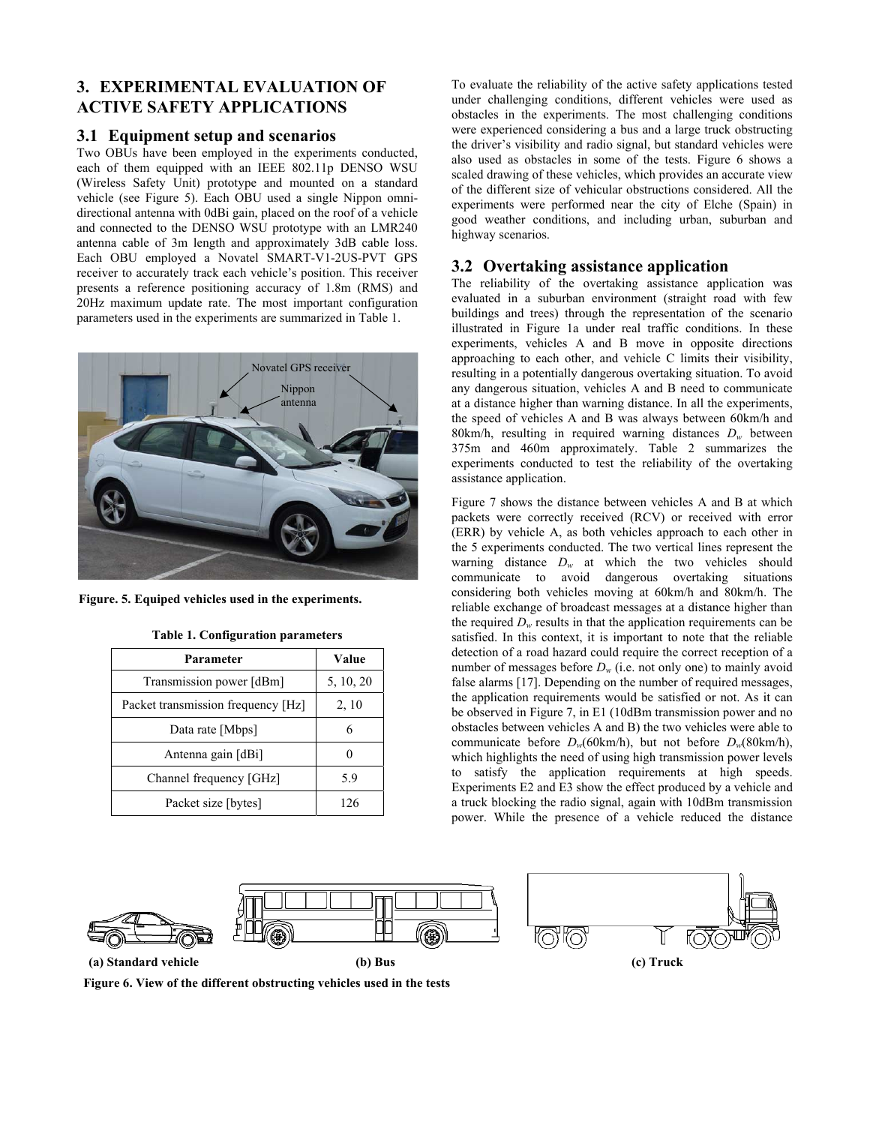# **3. EXPERIMENTAL EVALUATION OF ACTIVE SAFETY APPLICATIONS**

# **3.1 Equipment setup and scenarios**

Two OBUs have been employed in the experiments conducted, each of them equipped with an IEEE 802.11p DENSO WSU (Wireless Safety Unit) prototype and mounted on a standard vehicle (see Figure 5). Each OBU used a single Nippon omnidirectional antenna with 0dBi gain, placed on the roof of a vehicle and connected to the DENSO WSU prototype with an LMR240 antenna cable of 3m length and approximately 3dB cable loss. Each OBU employed a Novatel SMART-V1-2US-PVT GPS receiver to accurately track each vehicle's position. This receiver presents a reference positioning accuracy of 1.8m (RMS) and 20Hz maximum update rate. The most important configuration parameters used in the experiments are summarized in Table 1.



**Figure. 5. Equiped vehicles used in the experiments.**

| Parameter                          | Value     |
|------------------------------------|-----------|
| Transmission power [dBm]           | 5, 10, 20 |
| Packet transmission frequency [Hz] | 2, 10     |
| Data rate [Mbps]                   |           |
| Antenna gain [dBi]                 |           |
| Channel frequency [GHz]            | 5.9       |
| Packet size [bytes]                | 126       |

**Figure 6. View of the different obstructing vehicles used in the tests** 

**Table 1. Configuration parameters** 

To evaluate the reliability of the active safety applications tested under challenging conditions, different vehicles were used as obstacles in the experiments. The most challenging conditions were experienced considering a bus and a large truck obstructing the driver's visibility and radio signal, but standard vehicles were also used as obstacles in some of the tests. Figure 6 shows a scaled drawing of these vehicles, which provides an accurate view of the different size of vehicular obstructions considered. All the experiments were performed near the city of Elche (Spain) in good weather conditions, and including urban, suburban and highway scenarios.

# **3.2 Overtaking assistance application**

The reliability of the overtaking assistance application was evaluated in a suburban environment (straight road with few buildings and trees) through the representation of the scenario illustrated in Figure 1a under real traffic conditions. In these experiments, vehicles A and B move in opposite directions approaching to each other, and vehicle C limits their visibility, resulting in a potentially dangerous overtaking situation. To avoid any dangerous situation, vehicles A and B need to communicate at a distance higher than warning distance. In all the experiments, the speed of vehicles A and B was always between 60km/h and 80km/h, resulting in required warning distances *Dw* between 375m and 460m approximately. Table 2 summarizes the experiments conducted to test the reliability of the overtaking assistance application.

Figure 7 shows the distance between vehicles A and B at which packets were correctly received (RCV) or received with error (ERR) by vehicle A, as both vehicles approach to each other in the 5 experiments conducted. The two vertical lines represent the warning distance *Dw* at which the two vehicles should communicate to avoid dangerous overtaking situations considering both vehicles moving at 60km/h and 80km/h. The reliable exchange of broadcast messages at a distance higher than the required  $D_w$  results in that the application requirements can be satisfied. In this context, it is important to note that the reliable detection of a road hazard could require the correct reception of a number of messages before  $D_w$  (i.e. not only one) to mainly avoid false alarms [17]. Depending on the number of required messages, the application requirements would be satisfied or not. As it can be observed in Figure 7, in E1 (10dBm transmission power and no obstacles between vehicles A and B) the two vehicles were able to communicate before  $D_w(60 \text{km/h})$ , but not before  $D_w(80 \text{km/h})$ , which highlights the need of using high transmission power levels to satisfy the application requirements at high speeds. Experiments E2 and E3 show the effect produced by a vehicle and a truck blocking the radio signal, again with 10dBm transmission power. While the presence of a vehicle reduced the distance





**(a) Standard vehicle (b) Bus (c) Truck**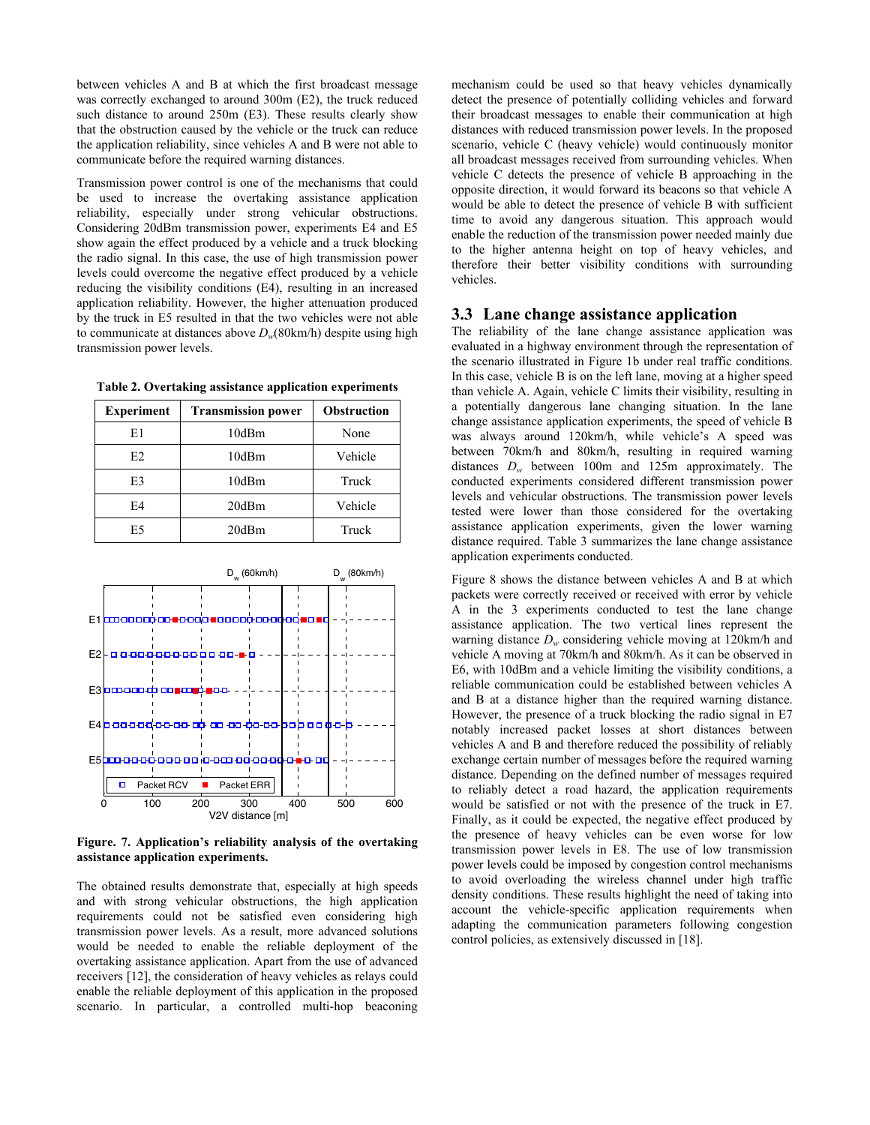between vehicles A and B at which the first broadcast message was correctly exchanged to around 300m (E2), the truck reduced such distance to around 250m (E3). These results clearly show that the obstruction caused by the vehicle or the truck can reduce the application reliability, since vehicles A and B were not able to communicate before the required warning distances.

Transmission power control is one of the mechanisms that could be used to increase the overtaking assistance application reliability, especially under strong vehicular obstructions. Considering 20dBm transmission power, experiments E4 and E5 show again the effect produced by a vehicle and a truck blocking the radio signal. In this case, the use of high transmission power levels could overcome the negative effect produced by a vehicle reducing the visibility conditions (E4), resulting in an increased application reliability. However, the higher attenuation produced by the truck in E5 resulted in that the two vehicles were not able to communicate at distances above *Dw*(80km/h) despite using high transmission power levels.

|  |  | Table 2. Overtaking assistance application experiments |
|--|--|--------------------------------------------------------|
|  |  |                                                        |

| <b>Experiment</b> | <b>Transmission power</b> | Obstruction |
|-------------------|---------------------------|-------------|
| E1                | 10dBm                     | None        |
| E2                | 10dBm                     | Vehicle     |
| E3                | 10dBm                     | Truck       |
| E4                | 20dBm                     | Vehicle     |
| E5                | 20dBm                     | Truck       |



**Figure. 7. Application's reliability analysis of the overtaking assistance application experiments.** 

The obtained results demonstrate that, especially at high speeds and with strong vehicular obstructions, the high application requirements could not be satisfied even considering high transmission power levels. As a result, more advanced solutions would be needed to enable the reliable deployment of the overtaking assistance application. Apart from the use of advanced receivers [12], the consideration of heavy vehicles as relays could enable the reliable deployment of this application in the proposed scenario. In particular, a controlled multi-hop beaconing mechanism could be used so that heavy vehicles dynamically detect the presence of potentially colliding vehicles and forward their broadcast messages to enable their communication at high distances with reduced transmission power levels. In the proposed scenario, vehicle C (heavy vehicle) would continuously monitor all broadcast messages received from surrounding vehicles. When vehicle C detects the presence of vehicle B approaching in the opposite direction, it would forward its beacons so that vehicle A would be able to detect the presence of vehicle B with sufficient time to avoid any dangerous situation. This approach would enable the reduction of the transmission power needed mainly due to the higher antenna height on top of heavy vehicles, and therefore their better visibility conditions with surrounding vehicles.

### **3.3 Lane change assistance application**

The reliability of the lane change assistance application was evaluated in a highway environment through the representation of the scenario illustrated in Figure 1b under real traffic conditions. In this case, vehicle B is on the left lane, moving at a higher speed than vehicle A. Again, vehicle C limits their visibility, resulting in a potentially dangerous lane changing situation. In the lane change assistance application experiments, the speed of vehicle B was always around 120km/h, while vehicle's A speed was between 70km/h and 80km/h, resulting in required warning distances *Dw* between 100m and 125m approximately. The conducted experiments considered different transmission power levels and vehicular obstructions. The transmission power levels tested were lower than those considered for the overtaking assistance application experiments, given the lower warning distance required. Table 3 summarizes the lane change assistance application experiments conducted.

Figure 8 shows the distance between vehicles A and B at which packets were correctly received or received with error by vehicle A in the 3 experiments conducted to test the lane change assistance application. The two vertical lines represent the warning distance *Dw* considering vehicle moving at 120km/h and vehicle A moving at 70km/h and 80km/h. As it can be observed in E6, with 10dBm and a vehicle limiting the visibility conditions, a reliable communication could be established between vehicles A and B at a distance higher than the required warning distance. However, the presence of a truck blocking the radio signal in E7 notably increased packet losses at short distances between vehicles A and B and therefore reduced the possibility of reliably exchange certain number of messages before the required warning distance. Depending on the defined number of messages required to reliably detect a road hazard, the application requirements would be satisfied or not with the presence of the truck in E7. Finally, as it could be expected, the negative effect produced by the presence of heavy vehicles can be even worse for low transmission power levels in E8. The use of low transmission power levels could be imposed by congestion control mechanisms to avoid overloading the wireless channel under high traffic density conditions. These results highlight the need of taking into account the vehicle-specific application requirements when adapting the communication parameters following congestion control policies, as extensively discussed in [18].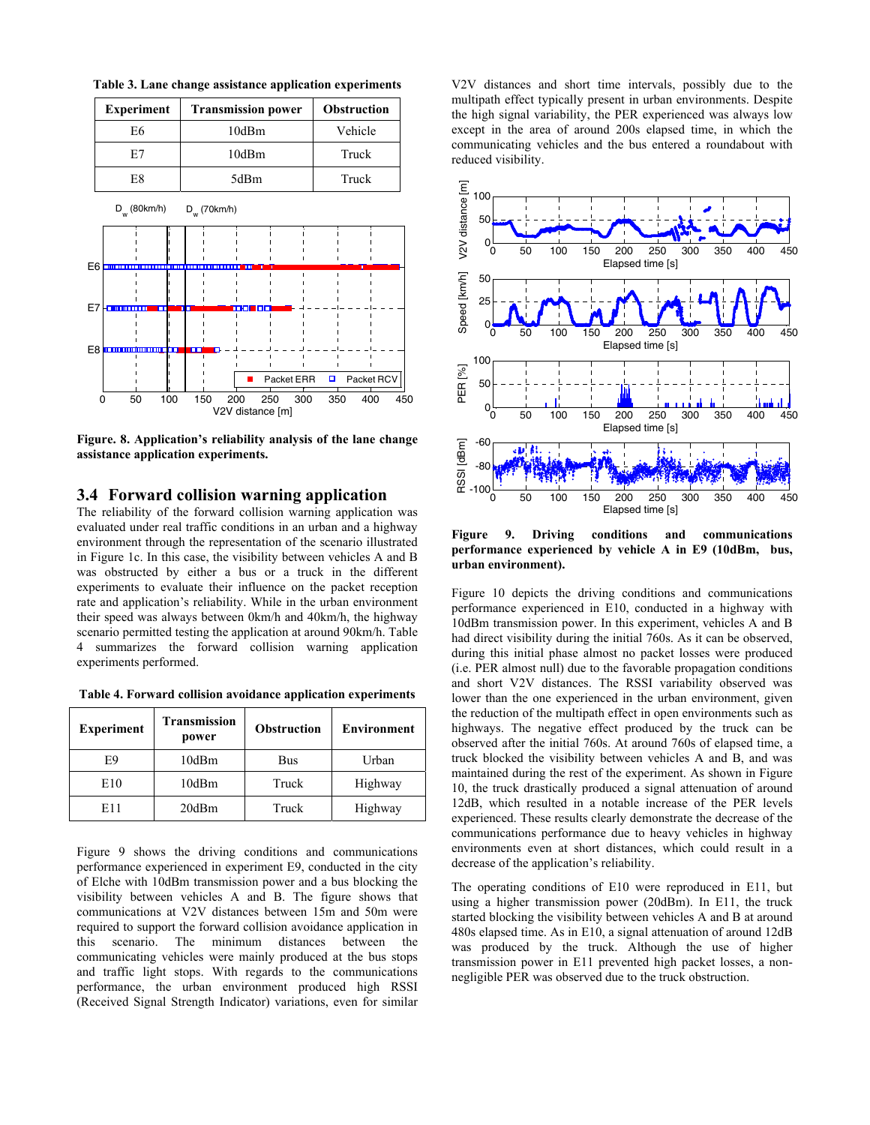**Table 3. Lane change assistance application experiments** 



**Figure. 8. Application's reliability analysis of the lane change assistance application experiments.** 

### **3.4 Forward collision warning application**

The reliability of the forward collision warning application was evaluated under real traffic conditions in an urban and a highway environment through the representation of the scenario illustrated in Figure 1c. In this case, the visibility between vehicles A and B was obstructed by either a bus or a truck in the different experiments to evaluate their influence on the packet reception rate and application's reliability. While in the urban environment their speed was always between 0km/h and 40km/h, the highway scenario permitted testing the application at around 90km/h. Table 4 summarizes the forward collision warning application experiments performed.

**Table 4. Forward collision avoidance application experiments** 

| <b>Experiment</b> | <b>Transmission</b><br>power | <b>Obstruction</b> | <b>Environment</b> |
|-------------------|------------------------------|--------------------|--------------------|
| E9                | 10dBm                        | Bus                | Urban              |
| E10               | 10dBm                        | Truck              | Highway            |
| E11               | 20dBm                        | Truck              | Highway            |

Figure 9 shows the driving conditions and communications performance experienced in experiment E9, conducted in the city of Elche with 10dBm transmission power and a bus blocking the visibility between vehicles A and B. The figure shows that communications at V2V distances between 15m and 50m were required to support the forward collision avoidance application in this scenario. The minimum distances between the communicating vehicles were mainly produced at the bus stops and traffic light stops. With regards to the communications performance, the urban environment produced high RSSI (Received Signal Strength Indicator) variations, even for similar

V2V distances and short time intervals, possibly due to the multipath effect typically present in urban environments. Despite the high signal variability, the PER experienced was always low except in the area of around 200s elapsed time, in which the communicating vehicles and the bus entered a roundabout with reduced visibility.



**Figure 9. Driving conditions and communications performance experienced by vehicle A in E9 (10dBm, bus, urban environment).** 

Figure 10 depicts the driving conditions and communications performance experienced in E10, conducted in a highway with 10dBm transmission power. In this experiment, vehicles A and B had direct visibility during the initial 760s. As it can be observed, during this initial phase almost no packet losses were produced (i.e. PER almost null) due to the favorable propagation conditions and short V2V distances. The RSSI variability observed was lower than the one experienced in the urban environment, given the reduction of the multipath effect in open environments such as highways. The negative effect produced by the truck can be observed after the initial 760s. At around 760s of elapsed time, a truck blocked the visibility between vehicles A and B, and was maintained during the rest of the experiment. As shown in Figure 10, the truck drastically produced a signal attenuation of around 12dB, which resulted in a notable increase of the PER levels experienced. These results clearly demonstrate the decrease of the communications performance due to heavy vehicles in highway environments even at short distances, which could result in a decrease of the application's reliability.

The operating conditions of E10 were reproduced in E11, but using a higher transmission power (20dBm). In E11, the truck started blocking the visibility between vehicles A and B at around 480s elapsed time. As in E10, a signal attenuation of around 12dB was produced by the truck. Although the use of higher transmission power in E11 prevented high packet losses, a nonnegligible PER was observed due to the truck obstruction.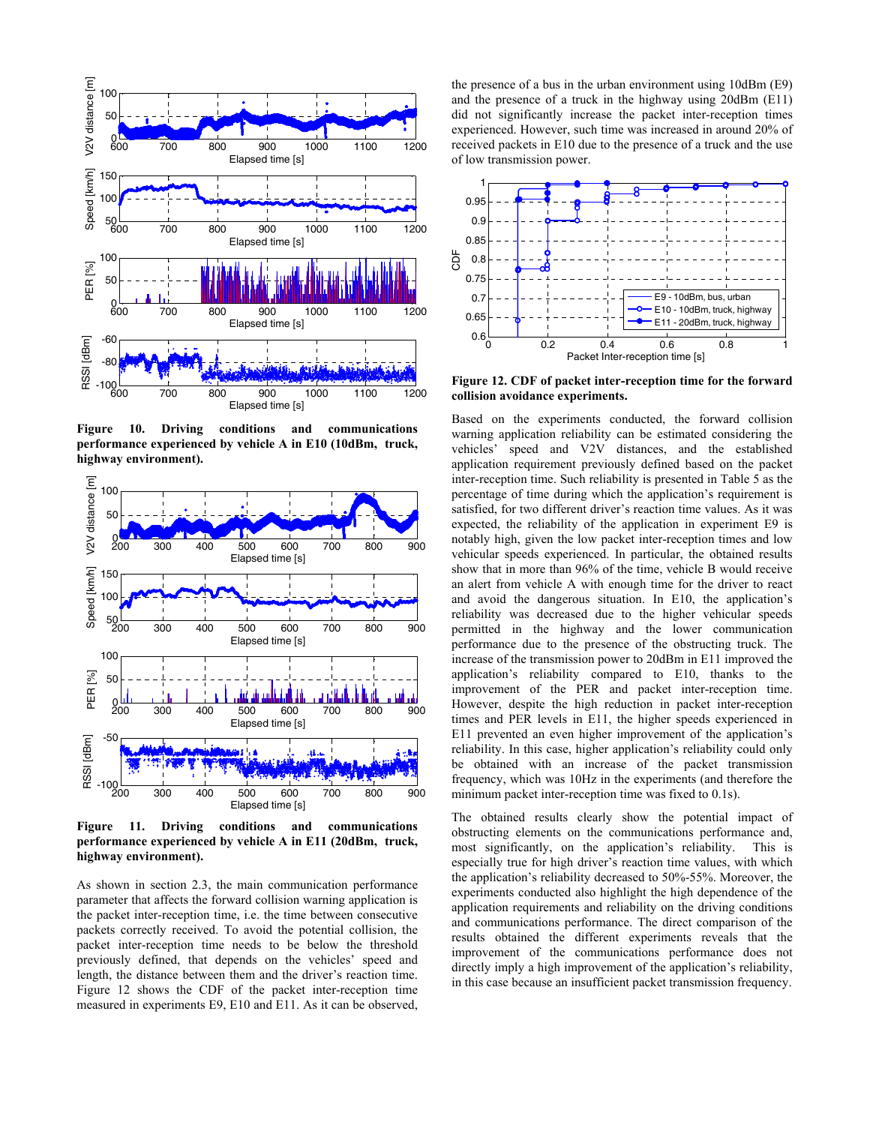

**Figure 10. Driving conditions and communications performance experienced by vehicle A in E10 (10dBm, truck, highway environment).** 



**Figure 11. Driving conditions and communications performance experienced by vehicle A in E11 (20dBm, truck, highway environment).** 

As shown in section 2.3, the main communication performance parameter that affects the forward collision warning application is the packet inter-reception time, i.e. the time between consecutive packets correctly received. To avoid the potential collision, the packet inter-reception time needs to be below the threshold previously defined, that depends on the vehicles' speed and length, the distance between them and the driver's reaction time. Figure 12 shows the CDF of the packet inter-reception time measured in experiments E9, E10 and E11. As it can be observed,

the presence of a bus in the urban environment using 10dBm (E9) and the presence of a truck in the highway using 20dBm (E11) did not significantly increase the packet inter-reception times experienced. However, such time was increased in around 20% of received packets in E10 due to the presence of a truck and the use of low transmission power.



**Figure 12. CDF of packet inter-reception time for the forward collision avoidance experiments.** 

Based on the experiments conducted, the forward collision warning application reliability can be estimated considering the vehicles' speed and V2V distances, and the established application requirement previously defined based on the packet inter-reception time. Such reliability is presented in Table 5 as the percentage of time during which the application's requirement is satisfied, for two different driver's reaction time values. As it was expected, the reliability of the application in experiment E9 is notably high, given the low packet inter-reception times and low vehicular speeds experienced. In particular, the obtained results show that in more than 96% of the time, vehicle B would receive an alert from vehicle A with enough time for the driver to react and avoid the dangerous situation. In E10, the application's reliability was decreased due to the higher vehicular speeds permitted in the highway and the lower communication performance due to the presence of the obstructing truck. The increase of the transmission power to 20dBm in E11 improved the application's reliability compared to E10, thanks to the improvement of the PER and packet inter-reception time. However, despite the high reduction in packet inter-reception times and PER levels in E11, the higher speeds experienced in E11 prevented an even higher improvement of the application's reliability. In this case, higher application's reliability could only be obtained with an increase of the packet transmission frequency, which was 10Hz in the experiments (and therefore the minimum packet inter-reception time was fixed to 0.1s).

The obtained results clearly show the potential impact of obstructing elements on the communications performance and, most significantly, on the application's reliability. This is especially true for high driver's reaction time values, with which the application's reliability decreased to 50%-55%. Moreover, the experiments conducted also highlight the high dependence of the application requirements and reliability on the driving conditions and communications performance. The direct comparison of the results obtained the different experiments reveals that the improvement of the communications performance does not directly imply a high improvement of the application's reliability, in this case because an insufficient packet transmission frequency.